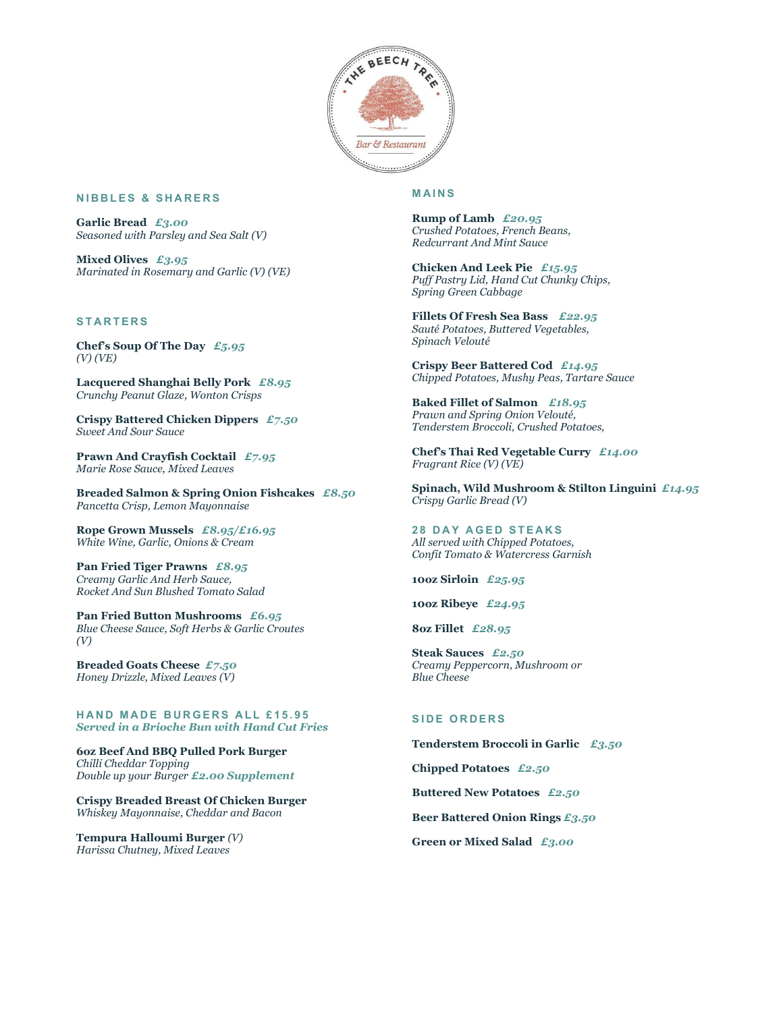

#### **NIBBLES & SHARERS**

Garlic Bread £3.00 Seasoned with Parsley and Sea Salt (V)

Mixed Olives  $£3.95$ Marinated in Rosemary and Garlic (V) (VE)

### **STARTERS**

Chef's Soup Of The Day  $E_5.95$ (V) (VE)

Lacquered Shanghai Belly Pork £8.95 Crunchy Peanut Glaze, Wonton Crisps

Crispy Battered Chicken Dippers £7.50 Sweet And Sour Sauce

Prawn And Crayfish Cocktail  $£7.95$ Marie Rose Sauce, Mixed Leaves

Breaded Salmon & Spring Onion Fishcakes £8.50 Pancetta Crisp, Lemon Mayonnaise

Rope Grown Mussels  $£8.95/£16.95$ White Wine, Garlic, Onions & Cream

Pan Fried Tiger Prawns £8.95 Creamy Garlic And Herb Sauce, Rocket And Sun Blushed Tomato Salad

Pan Fried Button Mushrooms £6.95 Blue Cheese Sauce, Soft Herbs & Garlic Croutes (V)

Breaded Goats Cheese £7.50 Honey Drizzle, Mixed Leaves (V)

HAND MADE BURGERS ALL £15.95 Served in a Brioche Bun with Hand Cut Fries

6oz Beef And BBQ Pulled Pork Burger Chilli Cheddar Topping Double up your Burger £2.00 Supplement

Crispy Breaded Breast Of Chicken Burger Whiskey Mayonnaise, Cheddar and Bacon

Tempura Halloumi Burger (V) Harissa Chutney, Mixed Leaves

#### **MAINS**

Rump of Lamb £20.95 Crushed Potatoes, French Beans, Redcurrant And Mint Sauce

Chicken And Leek Pie £15.95 Puff Pastry Lid, Hand Cut Chunky Chips, Spring Green Cabbage

Fillets Of Fresh Sea Bass £22.95 Sauté Potatoes, Buttered Vegetables, Spinach Velouté

Crispy Beer Battered Cod £14.95 Chipped Potatoes, Mushy Peas, Tartare Sauce

Baked Fillet of Salmon £18.95 Prawn and Spring Onion Velouté, Tenderstem Broccoli, Crushed Potatoes,

Chef's Thai Red Vegetable Curry £14.00 Fragrant Rice (V) (VE)

Spinach, Wild Mushroom & Stilton Linguini  $£14.95$ Crispy Garlic Bread (V)

**28 DAY AGED STEAKS** All served with Chipped Potatoes, Confit Tomato & Watercress Garnish

10oz Sirloin £25.95

10oz Ribeye £24.95

8oz Fillet £28.95

Steak Sauces £2.50 Creamy Peppercorn, Mushroom or Blue Cheese

#### **SIDE ORDERS**

Tenderstem Broccoli in Garlic £3.50

Chipped Potatoes £2.50

Buttered New Potatoes £2.50

Beer Battered Onion Rings £3.50

Green or Mixed Salad £3.00